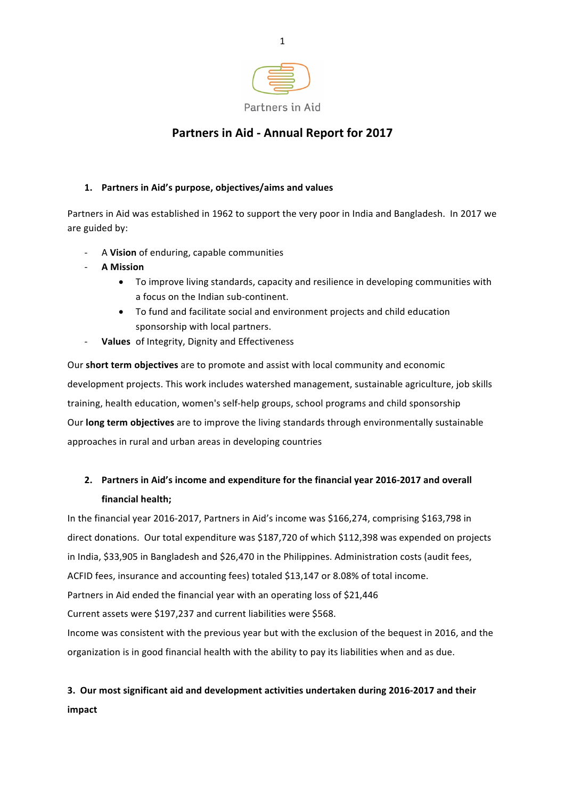

## **Partners in Aid - Annual Report for 2017**

## 1. Partners in Aid's purpose, objectives/aims and values

Partners in Aid was established in 1962 to support the very poor in India and Bangladesh. In 2017 we are guided by:

- A Vision of enduring, capable communities
- **A Mission**
	- To improve living standards, capacity and resilience in developing communities with a focus on the Indian sub-continent.
	- To fund and facilitate social and environment projects and child education sponsorship with local partners.
- **Values** of Integrity, Dignity and Effectiveness

Our **short term objectives** are to promote and assist with local community and economic development projects. This work includes watershed management, sustainable agriculture, job skills training, health education, women's self-help groups, school programs and child sponsorship Our **long term objectives** are to improve the living standards through environmentally sustainable approaches in rural and urban areas in developing countries

## 2. Partners in Aid's income and expenditure for the financial year 2016-2017 and overall **financial health:**

In the financial year 2016-2017, Partners in Aid's income was \$166,274, comprising \$163,798 in direct donations. Our total expenditure was \$187,720 of which \$112,398 was expended on projects in India, \$33,905 in Bangladesh and \$26,470 in the Philippines. Administration costs (audit fees, ACFID fees, insurance and accounting fees) totaled \$13,147 or 8.08% of total income. Partners in Aid ended the financial year with an operating loss of \$21,446 Current assets were \$197,237 and current liabilities were \$568.

Income was consistent with the previous year but with the exclusion of the bequest in 2016, and the organization is in good financial health with the ability to pay its liabilities when and as due.

# **3. Our most significant aid and development activities undertaken during 2016-2017 and their**

**impact**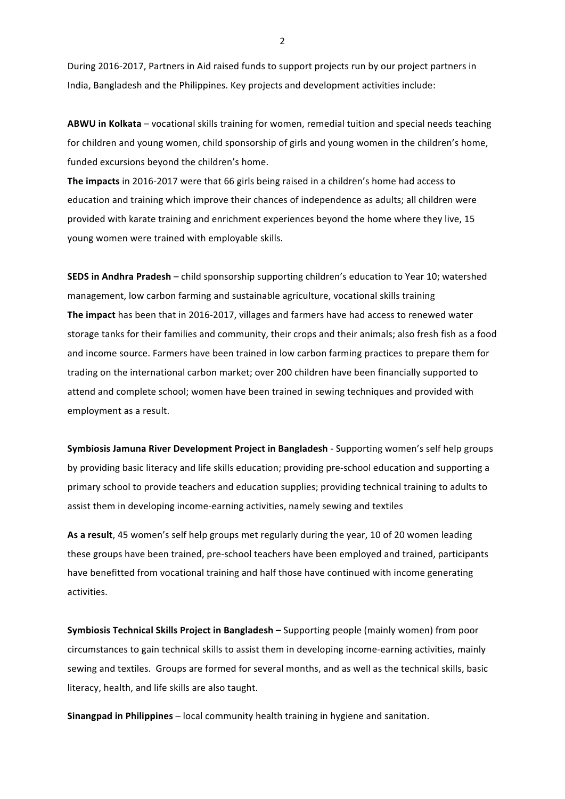During 2016-2017, Partners in Aid raised funds to support projects run by our project partners in India, Bangladesh and the Philippines. Key projects and development activities include:

ABWU in Kolkata – vocational skills training for women, remedial tuition and special needs teaching for children and young women, child sponsorship of girls and young women in the children's home, funded excursions beyond the children's home.

The impacts in 2016-2017 were that 66 girls being raised in a children's home had access to education and training which improve their chances of independence as adults; all children were provided with karate training and enrichment experiences beyond the home where they live, 15 young women were trained with employable skills.

**SEDS in Andhra Pradesh** – child sponsorship supporting children's education to Year 10; watershed management, low carbon farming and sustainable agriculture, vocational skills training **The impact** has been that in 2016-2017, villages and farmers have had access to renewed water storage tanks for their families and community, their crops and their animals; also fresh fish as a food and income source. Farmers have been trained in low carbon farming practices to prepare them for trading on the international carbon market; over 200 children have been financially supported to attend and complete school; women have been trained in sewing techniques and provided with employment as a result.

**Symbiosis Jamuna River Development Project in Bangladesh - Supporting women's self help groups** by providing basic literacy and life skills education; providing pre-school education and supporting a primary school to provide teachers and education supplies; providing technical training to adults to assist them in developing income-earning activities, namely sewing and textiles

As a result, 45 women's self help groups met regularly during the year, 10 of 20 women leading these groups have been trained, pre-school teachers have been employed and trained, participants have benefitted from vocational training and half those have continued with income generating activities.

**Symbiosis Technical Skills Project in Bangladesh – Supporting people (mainly women) from poor** circumstances to gain technical skills to assist them in developing income-earning activities, mainly sewing and textiles. Groups are formed for several months, and as well as the technical skills, basic literacy, health, and life skills are also taught.

**Sinangpad in Philippines** – local community health training in hygiene and sanitation.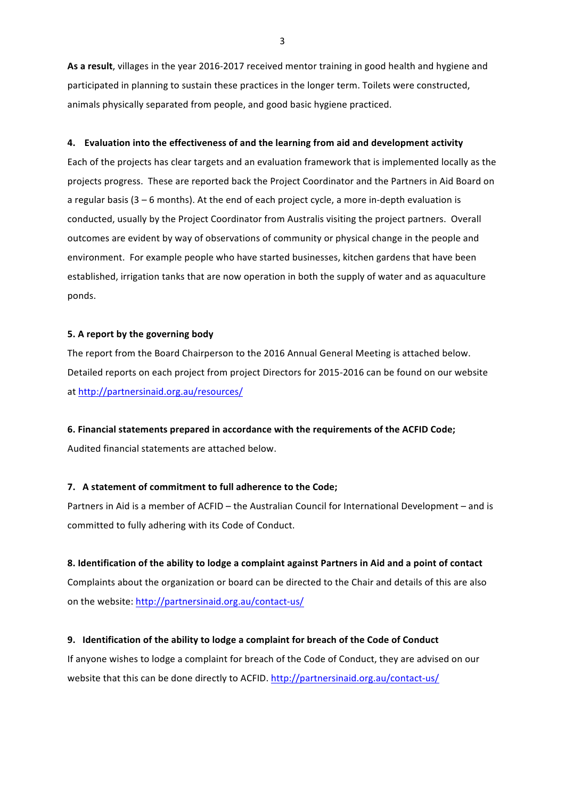As a result, villages in the year 2016-2017 received mentor training in good health and hygiene and participated in planning to sustain these practices in the longer term. Toilets were constructed, animals physically separated from people, and good basic hygiene practiced.

#### **4.** Evaluation into the effectiveness of and the learning from aid and development activity

Each of the projects has clear targets and an evaluation framework that is implemented locally as the projects progress. These are reported back the Project Coordinator and the Partners in Aid Board on a regular basis  $(3 - 6$  months). At the end of each project cycle, a more in-depth evaluation is conducted, usually by the Project Coordinator from Australis visiting the project partners. Overall outcomes are evident by way of observations of community or physical change in the people and environment. For example people who have started businesses, kitchen gardens that have been established, irrigation tanks that are now operation in both the supply of water and as aquaculture ponds.

#### **5. A report by the governing body**

The report from the Board Chairperson to the 2016 Annual General Meeting is attached below. Detailed reports on each project from project Directors for 2015-2016 can be found on our website at http://partnersinaid.org.au/resources/

#### **6. Financial statements prepared in accordance with the requirements of the ACFID Code;**

Audited financial statements are attached below.

#### **7.** A statement of commitment to full adherence to the Code;

Partners in Aid is a member of ACFID – the Australian Council for International Development – and is committed to fully adhering with its Code of Conduct.

#### **8. Identification of the ability to lodge a complaint against Partners in Aid and a point of contact**

Complaints about the organization or board can be directed to the Chair and details of this are also on the website: http://partnersinaid.org.au/contact-us/

#### **9. Identification of the ability to lodge a complaint for breach of the Code of Conduct**

If anyone wishes to lodge a complaint for breach of the Code of Conduct, they are advised on our website that this can be done directly to ACFID. http://partnersinaid.org.au/contact-us/

3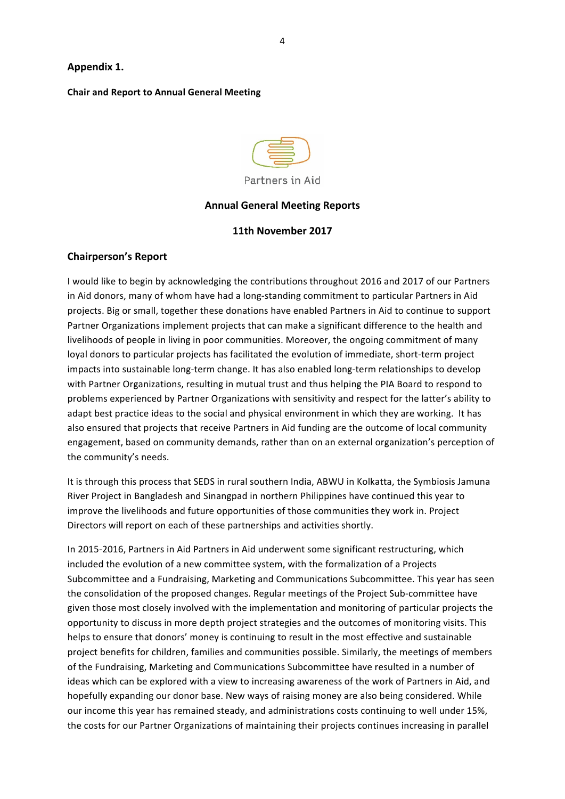## **Appendix 1.**

### **Chair and Report to Annual General Meeting**



Partners in Aid

#### **Annual General Meeting Reports**

### **11th November 2017**

## **Chairperson's Report**

I would like to begin by acknowledging the contributions throughout 2016 and 2017 of our Partners in Aid donors, many of whom have had a long-standing commitment to particular Partners in Aid projects. Big or small, together these donations have enabled Partners in Aid to continue to support Partner Organizations implement projects that can make a significant difference to the health and livelihoods of people in living in poor communities. Moreover, the ongoing commitment of many loyal donors to particular projects has facilitated the evolution of immediate, short-term project impacts into sustainable long-term change. It has also enabled long-term relationships to develop with Partner Organizations, resulting in mutual trust and thus helping the PIA Board to respond to problems experienced by Partner Organizations with sensitivity and respect for the latter's ability to adapt best practice ideas to the social and physical environment in which they are working. It has also ensured that projects that receive Partners in Aid funding are the outcome of local community engagement, based on community demands, rather than on an external organization's perception of the community's needs.

It is through this process that SEDS in rural southern India, ABWU in Kolkatta, the Symbiosis Jamuna River Project in Bangladesh and Sinangpad in northern Philippines have continued this year to improve the livelihoods and future opportunities of those communities they work in. Project Directors will report on each of these partnerships and activities shortly.

In 2015-2016, Partners in Aid Partners in Aid underwent some significant restructuring, which included the evolution of a new committee system, with the formalization of a Projects Subcommittee and a Fundraising, Marketing and Communications Subcommittee. This year has seen the consolidation of the proposed changes. Regular meetings of the Project Sub-committee have given those most closely involved with the implementation and monitoring of particular projects the opportunity to discuss in more depth project strategies and the outcomes of monitoring visits. This helps to ensure that donors' money is continuing to result in the most effective and sustainable project benefits for children, families and communities possible. Similarly, the meetings of members of the Fundraising, Marketing and Communications Subcommittee have resulted in a number of ideas which can be explored with a view to increasing awareness of the work of Partners in Aid, and hopefully expanding our donor base. New ways of raising money are also being considered. While our income this year has remained steady, and administrations costs continuing to well under 15%, the costs for our Partner Organizations of maintaining their projects continues increasing in parallel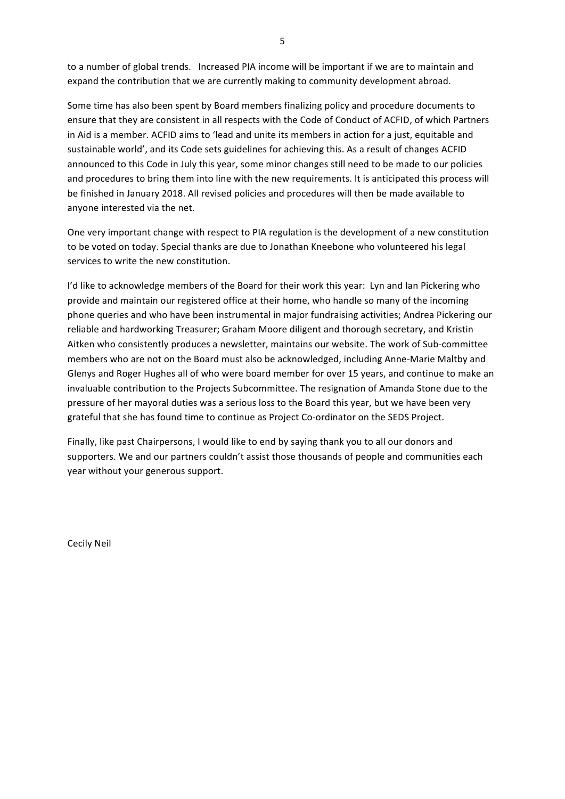to a number of global trends. Increased PIA income will be important if we are to maintain and expand the contribution that we are currently making to community development abroad.

Some time has also been spent by Board members finalizing policy and procedure documents to ensure that they are consistent in all respects with the Code of Conduct of ACFID, of which Partners in Aid is a member. ACFID aims to 'lead and unite its members in action for a just, equitable and sustainable world', and its Code sets guidelines for achieving this. As a result of changes ACFID announced to this Code in July this year, some minor changes still need to be made to our policies and procedures to bring them into line with the new requirements. It is anticipated this process will be finished in January 2018. All revised policies and procedures will then be made available to anyone interested via the net.

One very important change with respect to PIA regulation is the development of a new constitution to be voted on today. Special thanks are due to Jonathan Kneebone who volunteered his legal services to write the new constitution.

I'd like to acknowledge members of the Board for their work this year: Lyn and Ian Pickering who provide and maintain our registered office at their home, who handle so many of the incoming phone queries and who have been instrumental in major fundraising activities; Andrea Pickering our reliable and hardworking Treasurer; Graham Moore diligent and thorough secretary, and Kristin Aitken who consistently produces a newsletter, maintains our website. The work of Sub-committee members who are not on the Board must also be acknowledged, including Anne-Marie Maltby and Glenys and Roger Hughes all of who were board member for over 15 years, and continue to make an invaluable contribution to the Projects Subcommittee. The resignation of Amanda Stone due to the pressure of her mayoral duties was a serious loss to the Board this year, but we have been very grateful that she has found time to continue as Project Co-ordinator on the SEDS Project.

Finally, like past Chairpersons, I would like to end by saying thank you to all our donors and supporters. We and our partners couldn't assist those thousands of people and communities each year without your generous support.

Cecily Neil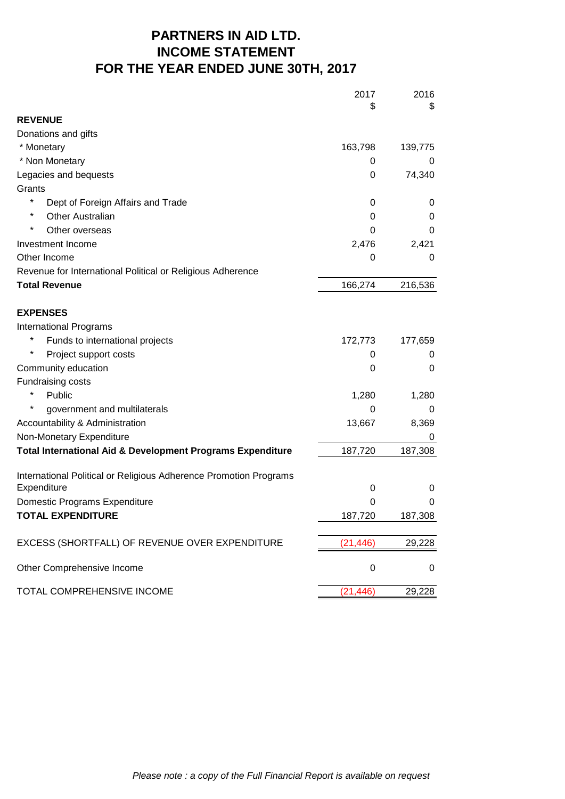## **PARTNERS IN AID LTD. INCOME STATEMENT FOR THE YEAR ENDED JUNE 30TH, 2017**

|                                                                       | 2017             | 2016    |
|-----------------------------------------------------------------------|------------------|---------|
| <b>REVENUE</b>                                                        | \$               | \$      |
| Donations and gifts                                                   |                  |         |
| * Monetary                                                            | 163,798          | 139,775 |
| * Non Monetary                                                        | 0                | 0       |
| Legacies and bequests                                                 | 0                | 74,340  |
| Grants                                                                |                  |         |
| *<br>Dept of Foreign Affairs and Trade                                | 0                | 0       |
| *<br><b>Other Australian</b>                                          | 0                | 0       |
| Other overseas                                                        | 0                | 0       |
| Investment Income                                                     | 2,476            | 2,421   |
| Other Income                                                          | 0                | 0       |
| Revenue for International Political or Religious Adherence            |                  |         |
| <b>Total Revenue</b>                                                  | 166,274          | 216,536 |
|                                                                       |                  |         |
| <b>EXPENSES</b>                                                       |                  |         |
| International Programs                                                |                  |         |
| Funds to international projects                                       | 172,773          | 177,659 |
| Project support costs                                                 | 0                | 0       |
| Community education                                                   | 0                | 0       |
| Fundraising costs                                                     |                  |         |
| Public                                                                | 1,280            | 1,280   |
| government and multilaterals                                          | 0                | 0       |
| Accountability & Administration                                       | 13,667           | 8,369   |
| Non-Monetary Expenditure                                              |                  | 0       |
| <b>Total International Aid &amp; Development Programs Expenditure</b> | 187,720          | 187,308 |
| International Political or Religious Adherence Promotion Programs     |                  |         |
| Expenditure                                                           | 0                | 0       |
| Domestic Programs Expenditure                                         | 0                | 0       |
| <b>TOTAL EXPENDITURE</b>                                              | 187,720          | 187,308 |
| EXCESS (SHORTFALL) OF REVENUE OVER EXPENDITURE                        | (21, 446)        | 29,228  |
| Other Comprehensive Income                                            | $\boldsymbol{0}$ | 0       |
| TOTAL COMPREHENSIVE INCOME                                            | (21, 446)        | 29,228  |
|                                                                       |                  |         |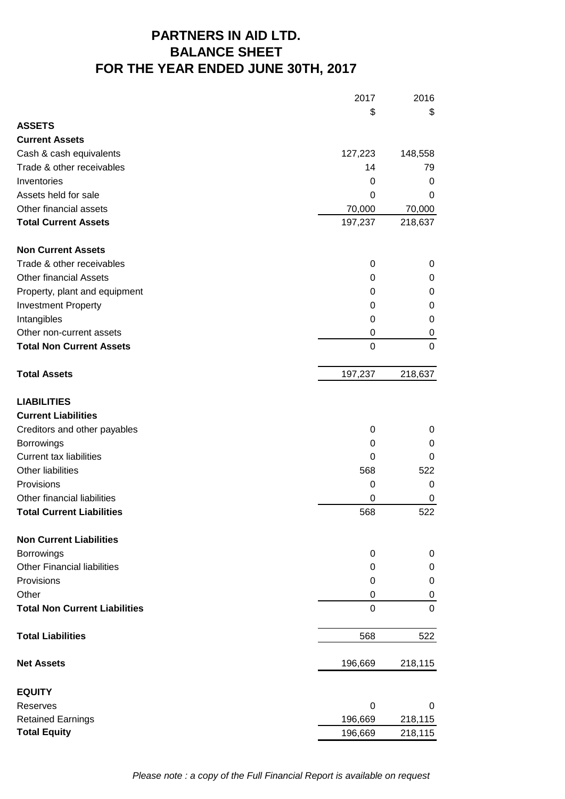# **FOR THE YEAR ENDED JUNE 30TH, 2017 PARTNERS IN AID LTD. BALANCE SHEET**

|                                      | 2017        | 2016             |
|--------------------------------------|-------------|------------------|
|                                      | \$          | \$               |
| <b>ASSETS</b>                        |             |                  |
| <b>Current Assets</b>                |             |                  |
| Cash & cash equivalents              | 127,223     | 148,558          |
| Trade & other receivables            | 14          | 79               |
| Inventories                          | 0           | 0                |
| Assets held for sale                 | 0           | 0                |
| Other financial assets               | 70,000      | 70,000           |
| <b>Total Current Assets</b>          | 197,237     | 218,637          |
| <b>Non Current Assets</b>            |             |                  |
| Trade & other receivables            | 0           | 0                |
| <b>Other financial Assets</b>        | 0           | 0                |
| Property, plant and equipment        | 0           | 0                |
| <b>Investment Property</b>           | 0           | 0                |
| Intangibles                          | 0           | 0                |
| Other non-current assets             | 0           | 0                |
| <b>Total Non Current Assets</b>      | $\mathbf 0$ | $\mathbf 0$      |
| <b>Total Assets</b>                  | 197,237     | 218,637          |
| <b>LIABILITIES</b>                   |             |                  |
| <b>Current Liabilities</b>           |             |                  |
| Creditors and other payables         | 0           | 0                |
| <b>Borrowings</b>                    | 0           | 0                |
| <b>Current tax liabilities</b>       | 0           | 0                |
| Other liabilities                    | 568         | 522              |
| Provisions                           | 0           | 0                |
| Other financial liabilities          | 0           | 0                |
| <b>Total Current Liabilities</b>     | 568         | 522              |
| <b>Non Current Liabilities</b>       |             |                  |
| <b>Borrowings</b>                    | 0           | 0                |
| <b>Other Financial liabilities</b>   | 0           | 0                |
| Provisions                           | 0           | $\boldsymbol{0}$ |
| Other                                | 0           | 0                |
| <b>Total Non Current Liabilities</b> | $\mathbf 0$ | $\mathbf 0$      |
| <b>Total Liabilities</b>             | 568         | 522              |
| <b>Net Assets</b>                    | 196,669     | 218,115          |
| <b>EQUITY</b>                        |             |                  |
| <b>Reserves</b>                      | 0           | 0                |
| <b>Retained Earnings</b>             | 196,669     | 218,115          |
| <b>Total Equity</b>                  | 196,669     | 218,115          |

*Please note : a copy of the Full Financial Report is available on request*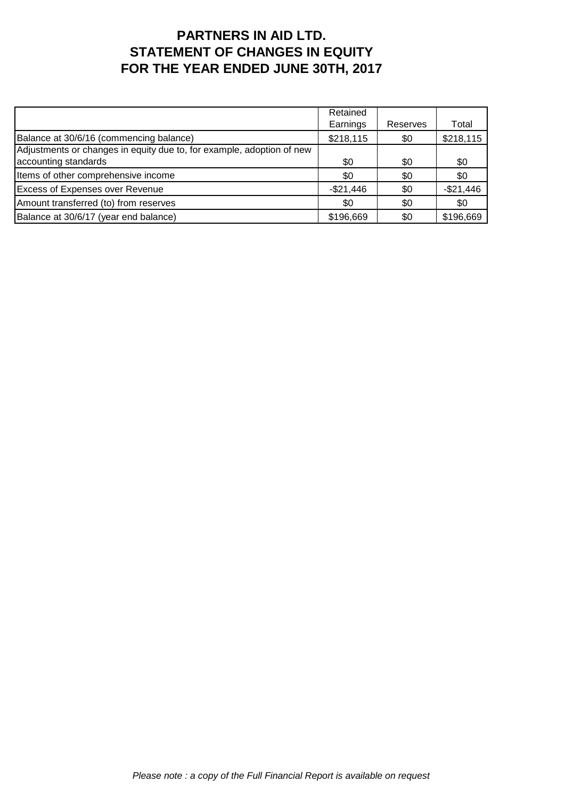## **PARTNERS IN AID LTD. STATEMENT OF CHANGES IN EQUITY FOR THE YEAR ENDED JUNE 30TH, 2017**

|                                                                       | Retained   |          |            |
|-----------------------------------------------------------------------|------------|----------|------------|
|                                                                       | Earnings   | Reserves | Total      |
| Balance at 30/6/16 (commencing balance)                               | \$218,115  | \$0      | \$218,115  |
| Adjustments or changes in equity due to, for example, adoption of new |            |          |            |
| accounting standards                                                  | \$0        | \$0      | \$0        |
| Items of other comprehensive income                                   | \$0        | \$0      | \$0        |
| <b>Excess of Expenses over Revenue</b>                                | $-$21,446$ | \$0      | $-$21,446$ |
| Amount transferred (to) from reserves                                 | \$0        | \$0      | \$0        |
| Balance at 30/6/17 (year end balance)                                 | \$196,669  | \$0      | \$196,669  |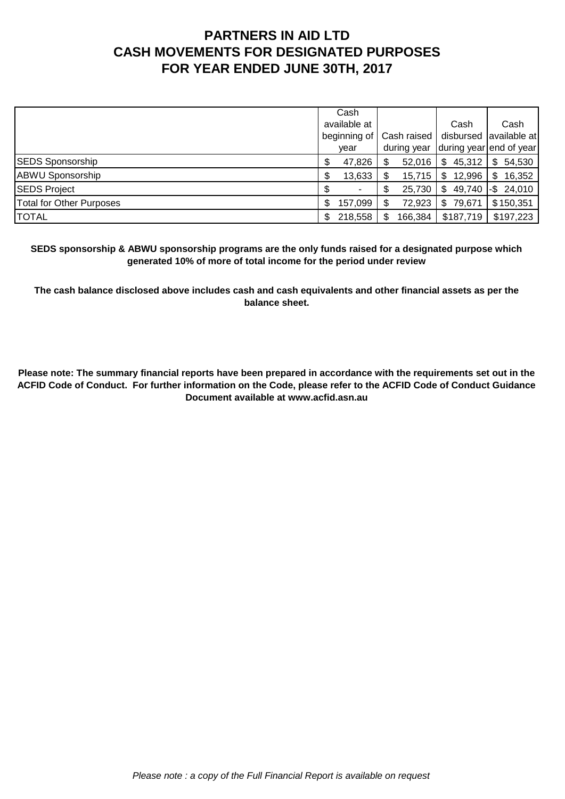# **PARTNERS IN AID LTD CASH MOVEMENTS FOR DESIGNATED PURPOSES FOR YEAR ENDED JUNE 30TH, 2017**

|                                 |                                      | Cash    |                            |         |      |           |                         |               |
|---------------------------------|--------------------------------------|---------|----------------------------|---------|------|-----------|-------------------------|---------------|
|                                 | available at<br>beginning of<br>vear |         | Cash raised<br>during year |         | Cash |           |                         | Cash          |
|                                 |                                      |         |                            |         |      |           | disbursed available at  |               |
|                                 |                                      |         |                            |         |      |           | during year end of year |               |
| <b>SEDS Sponsorship</b>         | \$                                   | 47,826  |                            | 52,016  | \$.  | 45,312    | S                       | 54,530        |
| <b>ABWU Sponsorship</b>         | \$                                   | 13,633  |                            | 15,715  | S    | 12,996    | S                       | 16,352        |
| <b>SEDS Project</b>             | \$                                   |         |                            | 25,730  | \$   | 49,740    |                         | $-$ \$ 24,010 |
| <b>Total for Other Purposes</b> | \$                                   | 157,099 |                            | 72,923  | \$.  | 79,671    |                         | \$150,351     |
| <b>TOTAL</b>                    | S                                    | 218,558 |                            | 166,384 |      | \$187,719 |                         | \$197,223     |

**SEDS sponsorship & ABWU sponsorship programs are the only funds raised for a designated purpose which generated 10% of more of total income for the period under review**

**The cash balance disclosed above includes cash and cash equivalents and other financial assets as per the balance sheet.**

**Please note: The summary financial reports have been prepared in accordance with the requirements set out in the ACFID Code of Conduct. For further information on the Code, please refer to the ACFID Code of Conduct Guidance Document available at www.acfid.asn.au**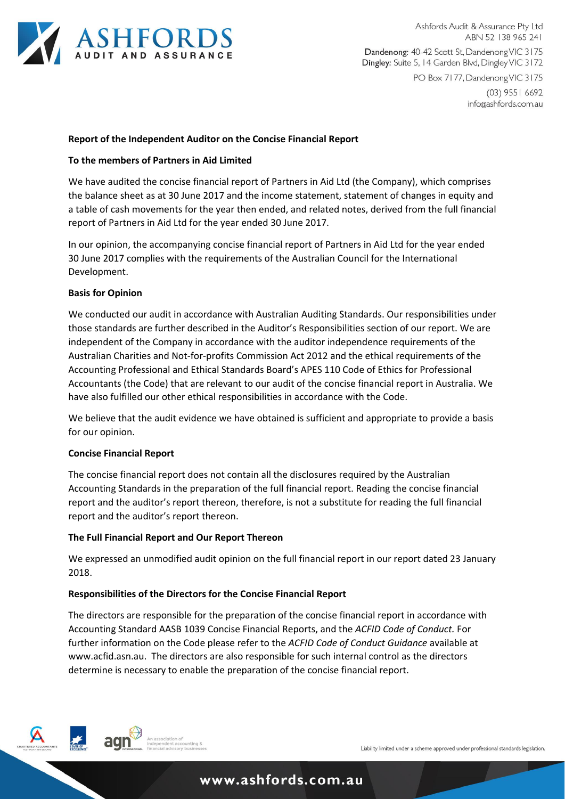

Ashfords Audit & Assurance Pty Ltd ABN 52 138 965 241 Dandenong: 40-42 Scott St, Dandenong VIC 3175 Dingley: Suite 5, 14 Garden Blvd, Dingley VIC 3172

PO Box 7177, Dandenong VIC 3175  $(03)$  9551 6692

info@ashfords.com.au

## **Report of the Independent Auditor on the Concise Financial Report**

### **To the members of Partners in Aid Limited**

We have audited the concise financial report of Partners in Aid Ltd (the Company), which comprises the balance sheet as at 30 June 2017 and the income statement, statement of changes in equity and a table of cash movements for the year then ended, and related notes, derived from the full financial report of Partners in Aid Ltd for the year ended 30 June 2017.

In our opinion, the accompanying concise financial report of Partners in Aid Ltd for the year ended 30 June 2017 complies with the requirements of the Australian Council for the International Development.

### **Basis for Opinion**

We conducted our audit in accordance with Australian Auditing Standards. Our responsibilities under those standards are further described in the Auditor's Responsibilities section of our report. We are independent of the Company in accordance with the auditor independence requirements of the Australian Charities and Not-for-profits Commission Act 2012 and the ethical requirements of the Accounting Professional and Ethical Standards Board's APES 110 Code of Ethics for Professional Accountants (the Code) that are relevant to our audit of the concise financial report in Australia. We have also fulfilled our other ethical responsibilities in accordance with the Code.

We believe that the audit evidence we have obtained is sufficient and appropriate to provide a basis for our opinion.

#### **Concise Financial Report**

The concise financial report does not contain all the disclosures required by the Australian Accounting Standards in the preparation of the full financial report. Reading the concise financial report and the auditor's report thereon, therefore, is not a substitute for reading the full financial report and the auditor's report thereon.

#### **The Full Financial Report and Our Report Thereon**

We expressed an unmodified audit opinion on the full financial report in our report dated 23 January 2018.

## **Responsibilities of the Directors for the Concise Financial Report**

The directors are responsible for the preparation of the concise financial report in accordance with Accounting Standard AASB 1039 Concise Financial Reports, and the *ACFID Code of Conduct.* For further information on the Code please refer to the *ACFID Code of Conduct Guidance* available at www.acfid.asn.au. The directors are also responsible for such internal control as the directors determine is necessary to enable the preparation of the concise financial report.